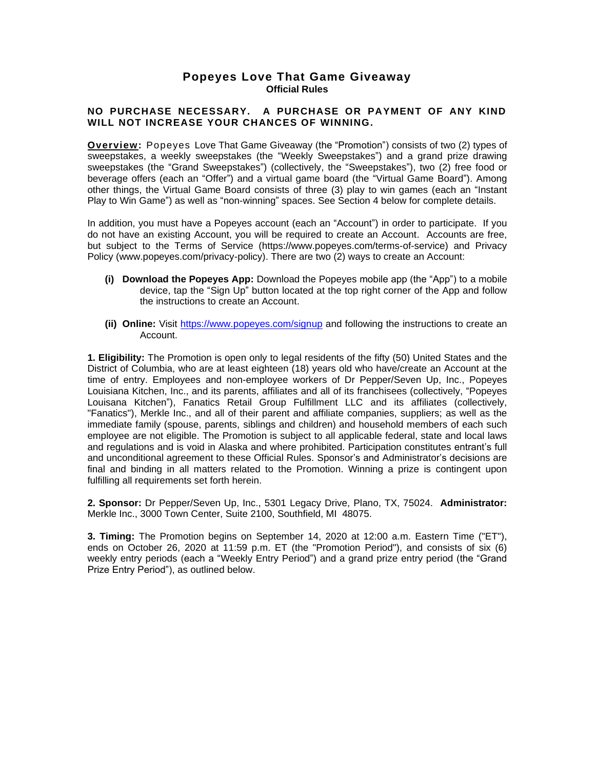# **Popeyes Love That Game Giveaway Official Rules**

#### **NO PURCHASE NECESSARY. A PURCHASE OR PAYMENT OF ANY KIND WILL NOT INCREASE YOUR CHANCES OF WINNING.**

**Overview:** Popeyes Love That Game Giveaway (the "Promotion") consists of two (2) types of sweepstakes, a weekly sweepstakes (the "Weekly Sweepstakes") and a grand prize drawing sweepstakes (the "Grand Sweepstakes") (collectively, the "Sweepstakes"), two (2) free food or beverage offers (each an "Offer") and a virtual game board (the "Virtual Game Board"). Among other things, the Virtual Game Board consists of three (3) play to win games (each an "Instant Play to Win Game") as well as "non-winning" spaces. See Section 4 below for complete details.

In addition, you must have a Popeyes account (each an "Account") in order to participate. If you do not have an existing Account, you will be required to create an Account. Accounts are free, but subject to the Terms of Service [\(https://www.popeyes.com/terms-of-service\)](https://www.popeyes.com/terms-of-service) and Privacy Policy (www.popeyes.com/privacy-policy). There are two (2) ways to create an Account:

- **(i) Download the Popeyes App:** Download the Popeyes mobile app (the "App") to a mobile device, tap the "Sign Up" button located at the top right corner of the App and follow the instructions to create an Account.
- **(ii) Online:** Visit<https://www.popeyes.com/signup> and following the instructions to create an Account.

**1. Eligibility:** The Promotion is open only to legal residents of the fifty (50) United States and the District of Columbia, who are at least eighteen (18) years old who have/create an Account at the time of entry. Employees and non-employee workers of Dr Pepper/Seven Up, Inc., Popeyes Louisiana Kitchen, Inc., and its parents, affiliates and all of its franchisees (collectively, "Popeyes Louisana Kitchen"), Fanatics Retail Group Fulfillment LLC and its affiliates (collectively, "Fanatics"), Merkle Inc., and all of their parent and affiliate companies, suppliers; as well as the immediate family (spouse, parents, siblings and children) and household members of each such employee are not eligible. The Promotion is subject to all applicable federal, state and local laws and regulations and is void in Alaska and where prohibited. Participation constitutes entrant's full and unconditional agreement to these Official Rules. Sponsor's and Administrator's decisions are final and binding in all matters related to the Promotion. Winning a prize is contingent upon fulfilling all requirements set forth herein.

**2. Sponsor:** Dr Pepper/Seven Up, Inc., 5301 Legacy Drive, Plano, TX, 75024. **Administrator:** Merkle Inc., 3000 Town Center, Suite 2100, Southfield, MI 48075.

**3. Timing:** The Promotion begins on September 14, 2020 at 12:00 a.m. Eastern Time ("ET"), ends on October 26, 2020 at 11:59 p.m. ET (the "Promotion Period"), and consists of six (6) weekly entry periods (each a "Weekly Entry Period") and a grand prize entry period (the "Grand Prize Entry Period"), as outlined below.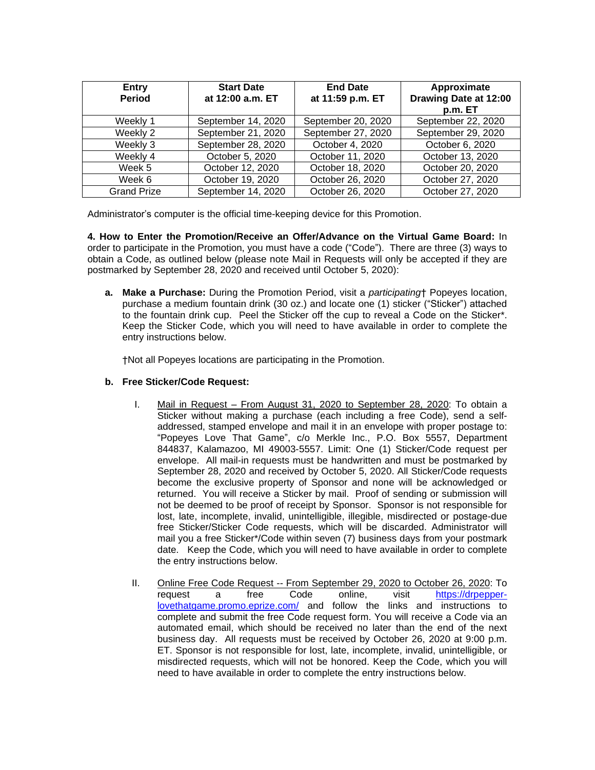| Entry<br><b>Period</b> | <b>Start Date</b><br>at 12:00 a.m. ET | <b>End Date</b><br>at 11:59 p.m. ET | Approximate<br>Drawing Date at 12:00<br>p.m. ET |
|------------------------|---------------------------------------|-------------------------------------|-------------------------------------------------|
| Weekly 1               | September 14, 2020                    | September 20, 2020                  | September 22, 2020                              |
| Weekly 2               | September 21, 2020                    | September 27, 2020                  | September 29, 2020                              |
| Weekly 3               | September 28, 2020                    | October 4, 2020                     | October 6, 2020                                 |
| Weekly 4               | October 5, 2020                       | October 11, 2020                    | October 13, 2020                                |
| Week 5                 | October 12, 2020                      | October 18, 2020                    | October 20, 2020                                |
| Week 6                 | October 19, 2020                      | October 26, 2020                    | October 27, 2020                                |
| <b>Grand Prize</b>     | September 14, 2020                    | October 26, 2020                    | October 27, 2020                                |

Administrator's computer is the official time-keeping device for this Promotion.

**4. How to Enter the Promotion/Receive an Offer/Advance on the Virtual Game Board:** In order to participate in the Promotion, you must have a code ("Code"). There are three (3) ways to obtain a Code, as outlined below (please note Mail in Requests will only be accepted if they are postmarked by September 28, 2020 and received until October 5, 2020):

**a. Make a Purchase:** During the Promotion Period, visit a *participating*† Popeyes location, purchase a medium fountain drink (30 oz.) and locate one (1) sticker ("Sticker") attached to the fountain drink cup. Peel the Sticker off the cup to reveal a Code on the Sticker\*. Keep the Sticker Code, which you will need to have available in order to complete the entry instructions below.

†Not all Popeyes locations are participating in the Promotion.

### **b. Free Sticker/Code Request:**

- I. Mail in Request From August 31, 2020 to September 28, 2020: To obtain a Sticker without making a purchase (each including a free Code), send a selfaddressed, stamped envelope and mail it in an envelope with proper postage to: "Popeyes Love That Game", c/o Merkle Inc., P.O. Box 5557, Department 844837, Kalamazoo, MI 49003-5557. Limit: One (1) Sticker/Code request per envelope. All mail-in requests must be handwritten and must be postmarked by September 28, 2020 and received by October 5, 2020. All Sticker/Code requests become the exclusive property of Sponsor and none will be acknowledged or returned. You will receive a Sticker by mail. Proof of sending or submission will not be deemed to be proof of receipt by Sponsor. Sponsor is not responsible for lost, late, incomplete, invalid, unintelligible, illegible, misdirected or postage-due free Sticker/Sticker Code requests, which will be discarded. Administrator will mail you a free Sticker\*/Code within seven (7) business days from your postmark date. Keep the Code, which you will need to have available in order to complete the entry instructions below.
- II. Online Free Code Request -- From September 29, 2020 to October 26, 2020: To request a free Code online, visit [https://drpepper](https://drpepper-lovethatgame.promo.eprize.com/)[lovethatgame.promo.eprize.com/](https://drpepper-lovethatgame.promo.eprize.com/) and follow the links and instructions to complete and submit the free Code request form. You will receive a Code via an automated email, which should be received no later than the end of the next business day. All requests must be received by October 26, 2020 at 9:00 p.m. ET. Sponsor is not responsible for lost, late, incomplete, invalid, unintelligible, or misdirected requests, which will not be honored. Keep the Code, which you will need to have available in order to complete the entry instructions below.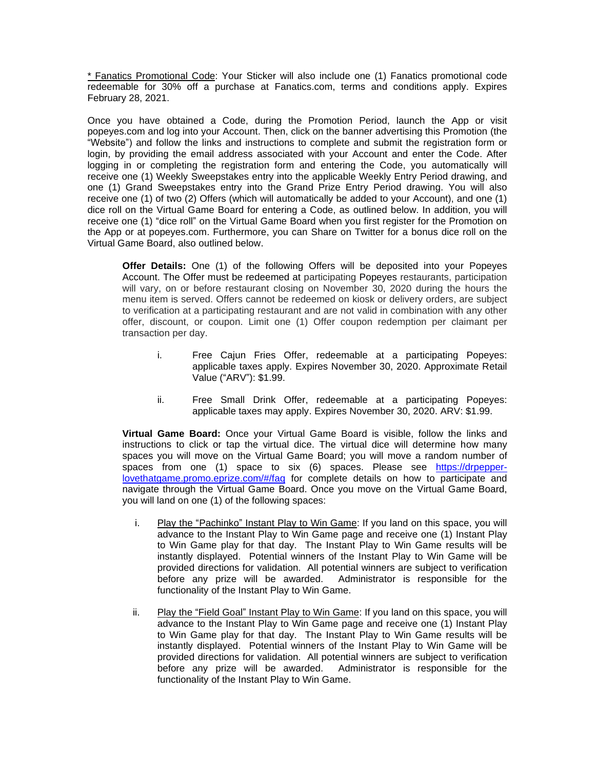\* Fanatics Promotional Code: Your Sticker will also include one (1) Fanatics promotional code redeemable for 30% off a purchase at Fanatics.com, terms and conditions apply. Expires February 28, 2021.

Once you have obtained a Code, during the Promotion Period, launch the App or visit popeyes.com and log into your Account. Then, click on the banner advertising this Promotion (the "Website") and follow the links and instructions to complete and submit the registration form or login, by providing the email address associated with your Account and enter the Code. After logging in or completing the registration form and entering the Code, you automatically will receive one (1) Weekly Sweepstakes entry into the applicable Weekly Entry Period drawing, and one (1) Grand Sweepstakes entry into the Grand Prize Entry Period drawing. You will also receive one (1) of two (2) Offers (which will automatically be added to your Account), and one (1) dice roll on the Virtual Game Board for entering a Code, as outlined below. In addition, you will receive one (1) "dice roll" on the Virtual Game Board when you first register for the Promotion on the App or at popeyes.com. Furthermore, you can Share on Twitter for a bonus dice roll on the Virtual Game Board, also outlined below.

**Offer Details:** One (1) of the following Offers will be deposited into your Popeyes Account. The Offer must be redeemed at participating Popeyes restaurants, participation will vary, on or before restaurant closing on November 30, 2020 during the hours the menu item is served. Offers cannot be redeemed on kiosk or delivery orders, are subject to verification at a participating restaurant and are not valid in combination with any other offer, discount, or coupon. Limit one (1) Offer coupon redemption per claimant per transaction per day.

- i. Free Cajun Fries Offer, redeemable at a participating Popeyes: applicable taxes apply. Expires November 30, 2020. Approximate Retail Value ("ARV"): \$1.99.
- ii. Free Small Drink Offer, redeemable at a participating Popeyes: applicable taxes may apply. Expires November 30, 2020. ARV: \$1.99.

**Virtual Game Board:** Once your Virtual Game Board is visible, follow the links and instructions to click or tap the virtual dice. The virtual dice will determine how many spaces you will move on the Virtual Game Board; you will move a random number of spaces from one (1) space to six (6) spaces. Please see [https://drpepper](https://drpepper-lovethatgame.promo.eprize.com/#/faq)[lovethatgame.promo.eprize.com/#/faq](https://drpepper-lovethatgame.promo.eprize.com/#/faq) for complete details on how to participate and navigate through the Virtual Game Board. Once you move on the Virtual Game Board, you will land on one (1) of the following spaces:

- i. Play the "Pachinko" Instant Play to Win Game: If you land on this space, you will advance to the Instant Play to Win Game page and receive one (1) Instant Play to Win Game play for that day. The Instant Play to Win Game results will be instantly displayed. Potential winners of the Instant Play to Win Game will be provided directions for validation. All potential winners are subject to verification before any prize will be awarded. Administrator is responsible for the functionality of the Instant Play to Win Game.
- ii. Play the "Field Goal" Instant Play to Win Game: If you land on this space, you will advance to the Instant Play to Win Game page and receive one (1) Instant Play to Win Game play for that day. The Instant Play to Win Game results will be instantly displayed. Potential winners of the Instant Play to Win Game will be provided directions for validation. All potential winners are subject to verification before any prize will be awarded. Administrator is responsible for the functionality of the Instant Play to Win Game.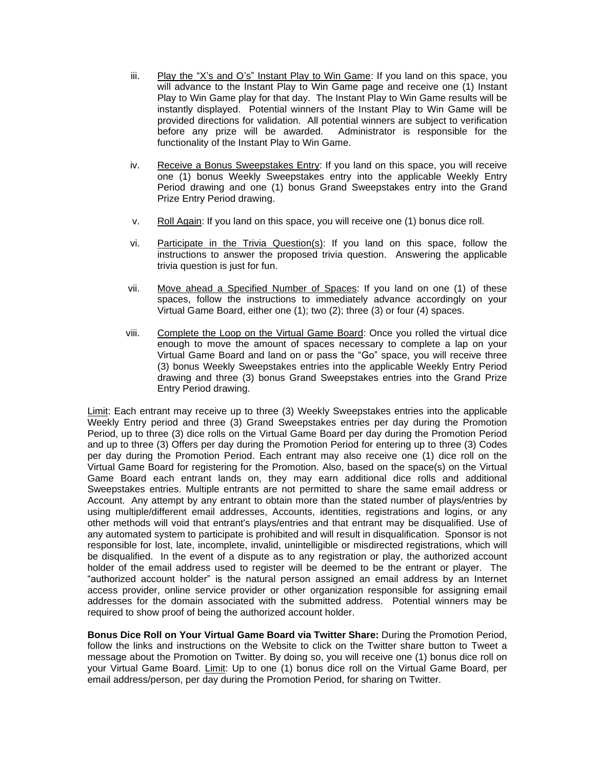- iii. Play the "X's and O's" Instant Play to Win Game: If you land on this space, you will advance to the Instant Play to Win Game page and receive one (1) Instant Play to Win Game play for that day. The Instant Play to Win Game results will be instantly displayed. Potential winners of the Instant Play to Win Game will be provided directions for validation. All potential winners are subject to verification before any prize will be awarded. Administrator is responsible for the functionality of the Instant Play to Win Game.
- iv. Receive a Bonus Sweepstakes Entry: If you land on this space, you will receive one (1) bonus Weekly Sweepstakes entry into the applicable Weekly Entry Period drawing and one (1) bonus Grand Sweepstakes entry into the Grand Prize Entry Period drawing.
- v. Roll Again: If you land on this space, you will receive one (1) bonus dice roll.
- vi. Participate in the Trivia Question(s): If you land on this space, follow the instructions to answer the proposed trivia question. Answering the applicable trivia question is just for fun.
- vii. Move ahead a Specified Number of Spaces: If you land on one (1) of these spaces, follow the instructions to immediately advance accordingly on your Virtual Game Board, either one (1); two (2); three (3) or four (4) spaces.
- viii. Complete the Loop on the Virtual Game Board: Once you rolled the virtual dice enough to move the amount of spaces necessary to complete a lap on your Virtual Game Board and land on or pass the "Go" space, you will receive three (3) bonus Weekly Sweepstakes entries into the applicable Weekly Entry Period drawing and three (3) bonus Grand Sweepstakes entries into the Grand Prize Entry Period drawing.

Limit: Each entrant may receive up to three (3) Weekly Sweepstakes entries into the applicable Weekly Entry period and three (3) Grand Sweepstakes entries per day during the Promotion Period, up to three (3) dice rolls on the Virtual Game Board per day during the Promotion Period and up to three (3) Offers per day during the Promotion Period for entering up to three (3) Codes per day during the Promotion Period. Each entrant may also receive one (1) dice roll on the Virtual Game Board for registering for the Promotion. Also, based on the space(s) on the Virtual Game Board each entrant lands on, they may earn additional dice rolls and additional Sweepstakes entries. Multiple entrants are not permitted to share the same email address or Account. Any attempt by any entrant to obtain more than the stated number of plays/entries by using multiple/different email addresses, Accounts, identities, registrations and logins, or any other methods will void that entrant's plays/entries and that entrant may be disqualified. Use of any automated system to participate is prohibited and will result in disqualification. Sponsor is not responsible for lost, late, incomplete, invalid, unintelligible or misdirected registrations, which will be disqualified. In the event of a dispute as to any registration or play, the authorized account holder of the email address used to register will be deemed to be the entrant or player. The "authorized account holder" is the natural person assigned an email address by an Internet access provider, online service provider or other organization responsible for assigning email addresses for the domain associated with the submitted address. Potential winners may be required to show proof of being the authorized account holder.

**Bonus Dice Roll on Your Virtual Game Board via Twitter Share:** During the Promotion Period, follow the links and instructions on the Website to click on the Twitter share button to Tweet a message about the Promotion on Twitter. By doing so, you will receive one (1) bonus dice roll on your Virtual Game Board. Limit: Up to one (1) bonus dice roll on the Virtual Game Board, per email address/person, per day during the Promotion Period, for sharing on Twitter.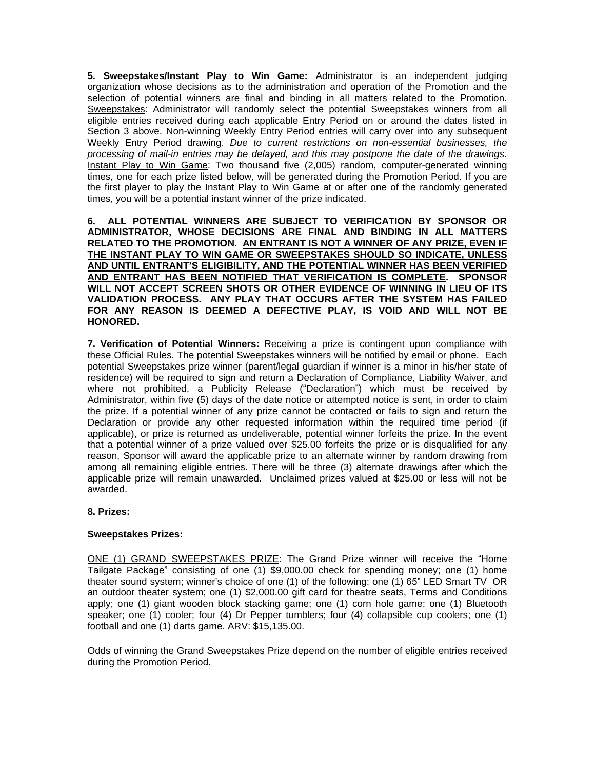**5. Sweepstakes/Instant Play to Win Game:** Administrator is an independent judging organization whose decisions as to the administration and operation of the Promotion and the selection of potential winners are final and binding in all matters related to the Promotion. Sweepstakes: Administrator will randomly select the potential Sweepstakes winners from all eligible entries received during each applicable Entry Period on or around the dates listed in Section 3 above. Non-winning Weekly Entry Period entries will carry over into any subsequent Weekly Entry Period drawing. *Due to current restrictions on non-essential businesses, the processing of mail-in entries may be delayed, and this may postpone the date of the drawings*. Instant Play to Win Game: Two thousand five (2,005) random, computer-generated winning times, one for each prize listed below, will be generated during the Promotion Period. If you are the first player to play the Instant Play to Win Game at or after one of the randomly generated times, you will be a potential instant winner of the prize indicated.

**6. ALL POTENTIAL WINNERS ARE SUBJECT TO VERIFICATION BY SPONSOR OR ADMINISTRATOR, WHOSE DECISIONS ARE FINAL AND BINDING IN ALL MATTERS RELATED TO THE PROMOTION. AN ENTRANT IS NOT A WINNER OF ANY PRIZE, EVEN IF THE INSTANT PLAY TO WIN GAME OR SWEEPSTAKES SHOULD SO INDICATE, UNLESS AND UNTIL ENTRANT'S ELIGIBILITY, AND THE POTENTIAL WINNER HAS BEEN VERIFIED AND ENTRANT HAS BEEN NOTIFIED THAT VERIFICATION IS COMPLETE. SPONSOR WILL NOT ACCEPT SCREEN SHOTS OR OTHER EVIDENCE OF WINNING IN LIEU OF ITS VALIDATION PROCESS. ANY PLAY THAT OCCURS AFTER THE SYSTEM HAS FAILED FOR ANY REASON IS DEEMED A DEFECTIVE PLAY, IS VOID AND WILL NOT BE HONORED.**

**7. Verification of Potential Winners:** Receiving a prize is contingent upon compliance with these Official Rules. The potential Sweepstakes winners will be notified by email or phone. Each potential Sweepstakes prize winner (parent/legal guardian if winner is a minor in his/her state of residence) will be required to sign and return a Declaration of Compliance, Liability Waiver, and where not prohibited, a Publicity Release ("Declaration") which must be received by Administrator, within five (5) days of the date notice or attempted notice is sent, in order to claim the prize. If a potential winner of any prize cannot be contacted or fails to sign and return the Declaration or provide any other requested information within the required time period (if applicable), or prize is returned as undeliverable, potential winner forfeits the prize. In the event that a potential winner of a prize valued over \$25.00 forfeits the prize or is disqualified for any reason, Sponsor will award the applicable prize to an alternate winner by random drawing from among all remaining eligible entries. There will be three (3) alternate drawings after which the applicable prize will remain unawarded. Unclaimed prizes valued at \$25.00 or less will not be awarded.

#### **8. Prizes:**

## **Sweepstakes Prizes:**

ONE (1) GRAND SWEEPSTAKES PRIZE: The Grand Prize winner will receive the "Home Tailgate Package" consisting of one (1) \$9,000.00 check for spending money; one (1) home theater sound system; winner's choice of one (1) of the following: one (1) 65" LED Smart TV OR an outdoor theater system; one (1) \$2,000.00 gift card for theatre seats, Terms and Conditions apply; one (1) giant wooden block stacking game; one (1) corn hole game; one (1) Bluetooth speaker; one (1) cooler; four (4) Dr Pepper tumblers; four (4) collapsible cup coolers; one (1) football and one (1) darts game. ARV: \$15,135.00.

Odds of winning the Grand Sweepstakes Prize depend on the number of eligible entries received during the Promotion Period.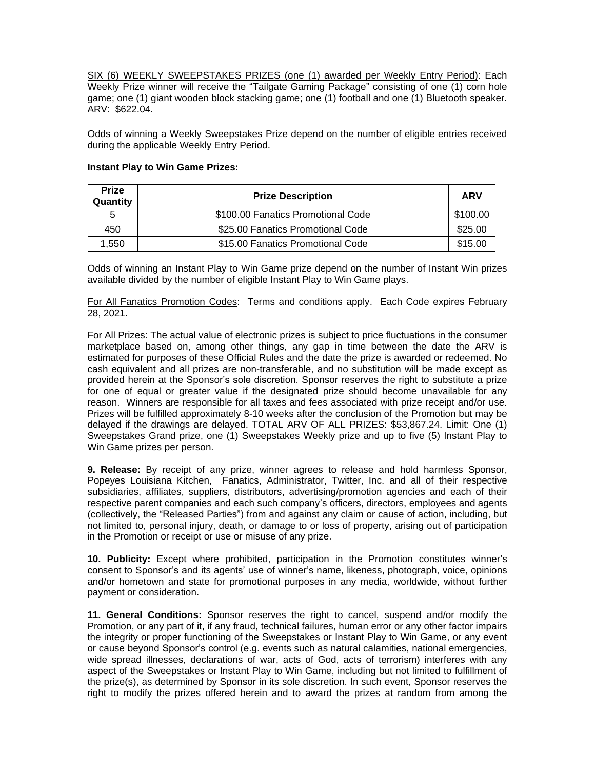SIX (6) WEEKLY SWEEPSTAKES PRIZES (one (1) awarded per Weekly Entry Period): Each Weekly Prize winner will receive the "Tailgate Gaming Package" consisting of one (1) corn hole game; one (1) giant wooden block stacking game; one (1) football and one (1) Bluetooth speaker. ARV: \$622.04.

Odds of winning a Weekly Sweepstakes Prize depend on the number of eligible entries received during the applicable Weekly Entry Period.

| <b>Prize</b><br>Quantity | <b>Prize Description</b>           | <b>ARV</b> |
|--------------------------|------------------------------------|------------|
| 5                        | \$100.00 Fanatics Promotional Code | \$100.00   |
| 450                      | \$25.00 Fanatics Promotional Code  | \$25.00    |
| 1.550                    | \$15.00 Fanatics Promotional Code  | \$15.00    |

#### **Instant Play to Win Game Prizes:**

Odds of winning an Instant Play to Win Game prize depend on the number of Instant Win prizes available divided by the number of eligible Instant Play to Win Game plays.

For All Fanatics Promotion Codes: Terms and conditions apply. Each Code expires February 28, 2021.

For All Prizes: The actual value of electronic prizes is subject to price fluctuations in the consumer marketplace based on, among other things, any gap in time between the date the ARV is estimated for purposes of these Official Rules and the date the prize is awarded or redeemed. No cash equivalent and all prizes are non-transferable, and no substitution will be made except as provided herein at the Sponsor's sole discretion. Sponsor reserves the right to substitute a prize for one of equal or greater value if the designated prize should become unavailable for any reason. Winners are responsible for all taxes and fees associated with prize receipt and/or use. Prizes will be fulfilled approximately 8-10 weeks after the conclusion of the Promotion but may be delayed if the drawings are delayed. TOTAL ARV OF ALL PRIZES: \$53,867.24. Limit: One (1) Sweepstakes Grand prize, one (1) Sweepstakes Weekly prize and up to five (5) Instant Play to Win Game prizes per person.

**9. Release:** By receipt of any prize, winner agrees to release and hold harmless Sponsor, Popeyes Louisiana Kitchen, Fanatics, Administrator, Twitter, Inc. and all of their respective subsidiaries, affiliates, suppliers, distributors, advertising/promotion agencies and each of their respective parent companies and each such company's officers, directors, employees and agents (collectively, the "Released Parties") from and against any claim or cause of action, including, but not limited to, personal injury, death, or damage to or loss of property, arising out of participation in the Promotion or receipt or use or misuse of any prize.

**10. Publicity:** Except where prohibited, participation in the Promotion constitutes winner's consent to Sponsor's and its agents' use of winner's name, likeness, photograph, voice, opinions and/or hometown and state for promotional purposes in any media, worldwide, without further payment or consideration.

**11. General Conditions:** Sponsor reserves the right to cancel, suspend and/or modify the Promotion, or any part of it, if any fraud, technical failures, human error or any other factor impairs the integrity or proper functioning of the Sweepstakes or Instant Play to Win Game, or any event or cause beyond Sponsor's control (e.g. events such as natural calamities, national emergencies, wide spread illnesses, declarations of war, acts of God, acts of terrorism) interferes with any aspect of the Sweepstakes or Instant Play to Win Game, including but not limited to fulfillment of the prize(s), as determined by Sponsor in its sole discretion. In such event, Sponsor reserves the right to modify the prizes offered herein and to award the prizes at random from among the